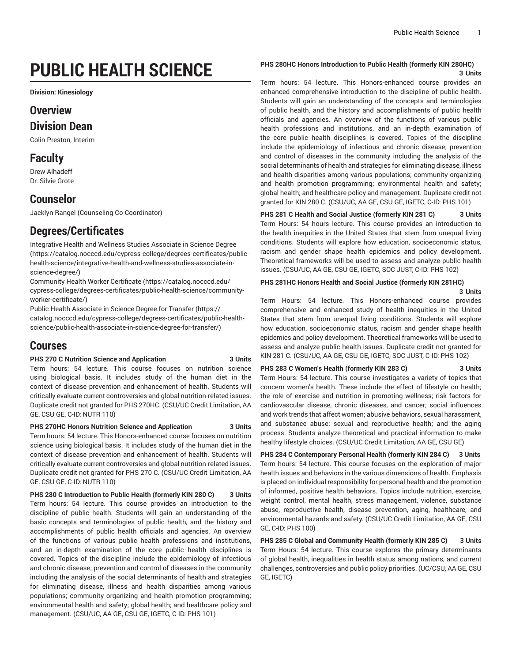# **PUBLIC HEALTH SCIENCE**

**Division: Kinesiology**

# **Overview**

### **Division Dean**

Colin Preston, Interim

# **Faculty**

Drew Alhadeff Dr. Silvie Grote

# **Counselor**

Jacklyn Rangel (Counseling Co-Coordinator)

# **Degrees/Certificates**

[Integrative](https://catalog.nocccd.edu/cypress-college/degrees-certificates/public-health-science/integrative-health-and-wellness-studies-associate-in-science-degree/) Health and Wellness Studies Associate in Science Degree ([https://catalog.nocccd.edu/cypress-college/degrees-certificates/public](https://catalog.nocccd.edu/cypress-college/degrees-certificates/public-health-science/integrative-health-and-wellness-studies-associate-in-science-degree/)[health-science/integrative-health-and-wellness-studies-associate-in](https://catalog.nocccd.edu/cypress-college/degrees-certificates/public-health-science/integrative-health-and-wellness-studies-associate-in-science-degree/)[science-degree/\)](https://catalog.nocccd.edu/cypress-college/degrees-certificates/public-health-science/integrative-health-and-wellness-studies-associate-in-science-degree/)

[Community](https://catalog.nocccd.edu/cypress-college/degrees-certificates/public-health-science/community-worker-certificate/) Health Worker Certificate ([https://catalog.nocccd.edu/](https://catalog.nocccd.edu/cypress-college/degrees-certificates/public-health-science/community-worker-certificate/) [cypress-college/degrees-certificates/public-health-science/community](https://catalog.nocccd.edu/cypress-college/degrees-certificates/public-health-science/community-worker-certificate/)[worker-certificate/\)](https://catalog.nocccd.edu/cypress-college/degrees-certificates/public-health-science/community-worker-certificate/)

Public Health [Associate](https://catalog.nocccd.edu/cypress-college/degrees-certificates/public-health-science/public-health-associate-in-science-degree-for-transfer/) in Science Degree for Transfer [\(https://](https://catalog.nocccd.edu/cypress-college/degrees-certificates/public-health-science/public-health-associate-in-science-degree-for-transfer/) [catalog.nocccd.edu/cypress-college/degrees-certificates/public-health](https://catalog.nocccd.edu/cypress-college/degrees-certificates/public-health-science/public-health-associate-in-science-degree-for-transfer/)[science/public-health-associate-in-science-degree-for-transfer/\)](https://catalog.nocccd.edu/cypress-college/degrees-certificates/public-health-science/public-health-associate-in-science-degree-for-transfer/)

# **Courses**

#### **PHS 270 C Nutrition Science and Application 3 Units**

Term hours: 54 lecture. This course focuses on nutrition science using biological basis. It includes study of the human diet in the context of disease prevention and enhancement of health. Students will critically evaluate current controversies and global nutrition-related issues. Duplicate credit not granted for PHS 270HC. (CSU/UC Credit Limitation, AA GE, CSU GE, C-ID: NUTR 110)

**PHS 270HC Honors Nutrition Science and Application 3 Units** Term hours: 54 lecture. This Honors-enhanced course focuses on nutrition science using biological basis. It includes study of the human diet in the context of disease prevention and enhancement of health. Students will critically evaluate current controversies and global nutrition-related issues. Duplicate credit not granted for PHS 270 C. (CSU/UC Credit Limitation, AA GE, CSU GE, C-ID: NUTR 110)

**PHS 280 C Introduction to Public Health (formerly KIN 280 C) 3 Units** Term hours: 54 lecture. This course provides an introduction to the discipline of public health. Students will gain an understanding of the basic concepts and terminologies of public health, and the history and accomplishments of public health officials and agencies. An overview of the functions of various public health professions and institutions, and an in-depth examination of the core public health disciplines is covered. Topics of the discipline include the epidemiology of infectious and chronic disease; prevention and control of diseases in the community including the analysis of the social determinants of health and strategies for eliminating disease, illness and health disparities among various populations; community organizing and health promotion programming; environmental health and safety; global health; and healthcare policy and management. (CSU/UC, AA GE, CSU GE, IGETC, C-ID: PHS 101)

#### **PHS 280HC Honors Introduction to Public Health (formerly KIN 280HC)**

**3 Units**

Term hours: 54 lecture. This Honors-enhanced course provides an enhanced comprehensive introduction to the discipline of public health. Students will gain an understanding of the concepts and terminologies of public health, and the history and accomplishments of public health officials and agencies. An overview of the functions of various public health professions and institutions, and an in-depth examination of the core public health disciplines is covered. Topics of the discipline include the epidemiology of infectious and chronic disease; prevention and control of diseases in the community including the analysis of the social determinants of health and strategies for eliminating disease, illness and health disparities among various populations; community organizing and health promotion programming; environmental health and safety; global health; and healthcare policy and management. Duplicate credit not granted for KIN 280 C. (CSU/UC, AA GE, CSU GE, IGETC, C-ID: PHS 101)

**PHS 281 C Health and Social Justice (formerly KIN 281 C) 3 Units** Term Hours: 54 hours lecture. This course provides an introduction to the health inequities in the United States that stem from unequal living conditions. Students will explore how education, socioeconomic status, racism and gender shape health epidemics and policy development. Theoretical frameworks will be used to assess and analyze public health issues. (CSU/UC, AA GE, CSU GE, IGETC, SOC JUST, C-ID: PHS 102)

#### **PHS 281HC Honors Health and Social Justice (formerly KIN 281HC) 3 Units**

Term Hours: 54 lecture. This Honors-enhanced course provides comprehensive and enhanced study of health inequities in the United States that stem from unequal living conditions. Students will explore how education, socioeconomic status, racism and gender shape health epidemics and policy development. Theoretical frameworks will be used to assess and analyze public health issues. Duplicate credit not granted for KIN 281 C. (CSU/UC, AA GE, CSU GE, IGETC, SOC JUST, C-ID: PHS 102)

#### **PHS 283 C Women's Health (formerly KIN 283 C) 3 Units**

Term Hours: 54 lecture. This course investigates a variety of topics that concern women's health. These include the effect of lifestyle on health; the role of exercise and nutrition in promoting wellness; risk factors for cardiovascular disease, chronic diseases, and cancer; social influences and work trends that affect women; abusive behaviors, sexual harassment,

and substance abuse; sexual and reproductive health; and the aging process. Students analyze theoretical and practical information to make healthy lifestyle choices. (CSU/UC Credit Limitation, AA GE, CSU GE) **PHS 284 C Contemporary Personal Health (formerly KIN 284 C) 3 Units** Term hours: 54 lecture. This course focuses on the exploration of major health issues and behaviors in the various dimensions of health. Emphasis is placed on individual responsibility for personal health and the promotion of informed, positive health behaviors. Topics include nutrition, exercise, weight control, mental health, stress management, violence, substance abuse, reproductive health, disease prevention, aging, healthcare, and environmental hazards and safety. (CSU/UC Credit Limitation, AA GE, CSU GE, C-ID: PHS 100)

**PHS 285 C Global and Community Health (formerly KIN 285 C) 3 Units** Term Hours: 54 lecture. This course explores the primary determinants of global health, inequalities in health status among nations, and current challenges, controversies and public policy priorities. (UC/CSU, AA GE, CSU GE, IGETC)